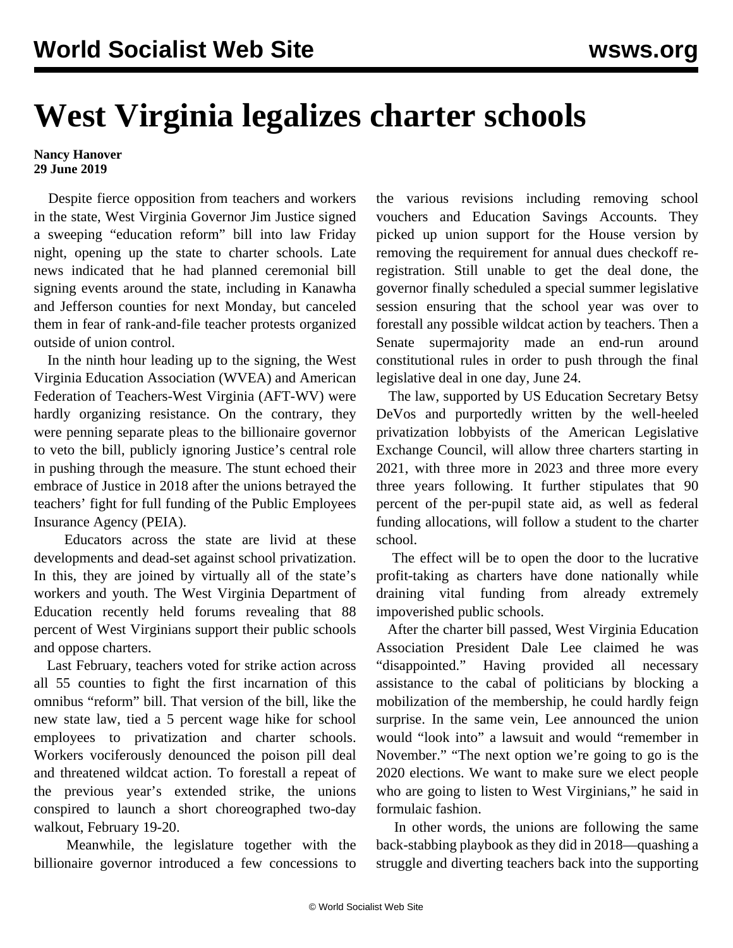## **West Virginia legalizes charter schools**

## **Nancy Hanover 29 June 2019**

 Despite fierce opposition from teachers and workers in the state, West Virginia Governor Jim Justice signed a sweeping "education reform" bill into law Friday night, opening up the state to charter schools. Late news indicated that he had planned ceremonial bill signing events around the state, including in Kanawha and Jefferson counties for next Monday, but canceled them in fear of rank-and-file teacher protests organized outside of union control.

 In the ninth hour leading up to the signing, the West Virginia Education Association (WVEA) and American Federation of Teachers-West Virginia (AFT-WV) were hardly organizing resistance. On the contrary, they were penning separate pleas to the billionaire governor to veto the bill, publicly ignoring Justice's central role in pushing through the measure. The stunt echoed their embrace of Justice in 2018 after the unions betrayed the teachers' fight for full funding of the Public Employees Insurance Agency (PEIA).

 Educators across the state are livid at these developments and dead-set against school privatization. In this, they are joined by virtually all of the state's workers and youth. The West Virginia Department of Education recently held forums revealing that 88 percent of West Virginians support their public schools and oppose charters.

 Last February, teachers voted for strike action across all 55 counties to fight the first incarnation of this omnibus "reform" bill. That version of the bill, like the new state law, tied a 5 percent wage hike for school employees to privatization and charter schools. Workers vociferously denounced the poison pill deal and threatened wildcat action. To forestall a repeat of the previous year's extended strike, the unions conspired to launch a short choreographed two-day walkout, February 19-20.

 Meanwhile, the legislature together with the billionaire governor introduced a few concessions to the various revisions including removing school vouchers and Education Savings Accounts. They picked up union support for the House version by removing the requirement for annual dues checkoff reregistration. Still unable to get the deal done, the governor finally scheduled a special summer legislative session ensuring that the school year was over to forestall any possible wildcat action by teachers. Then a Senate supermajority made an end-run around constitutional rules in order to push through the final legislative deal in one day, June 24.

 The law, supported by US Education Secretary Betsy DeVos and purportedly written by the well-heeled privatization lobbyists of the American Legislative Exchange Council, will allow three charters starting in 2021, with three more in 2023 and three more every three years following. It further stipulates that 90 percent of the per-pupil state aid, as well as federal funding allocations, will follow a student to the charter school.

 The effect will be to open the door to the lucrative profit-taking as charters have done nationally while draining vital funding from already extremely impoverished public schools.

 After the charter bill passed, West Virginia Education Association President Dale Lee claimed he was "disappointed." Having provided all necessary assistance to the cabal of politicians by blocking a mobilization of the membership, he could hardly feign surprise. In the same vein, Lee announced the union would "look into" a lawsuit and would "remember in November." "The next option we're going to go is the 2020 elections. We want to make sure we elect people who are going to listen to West Virginians," he said in formulaic fashion.

 In other words, the unions are following the same back-stabbing playbook as they did in 2018—quashing a struggle and diverting teachers back into the supporting